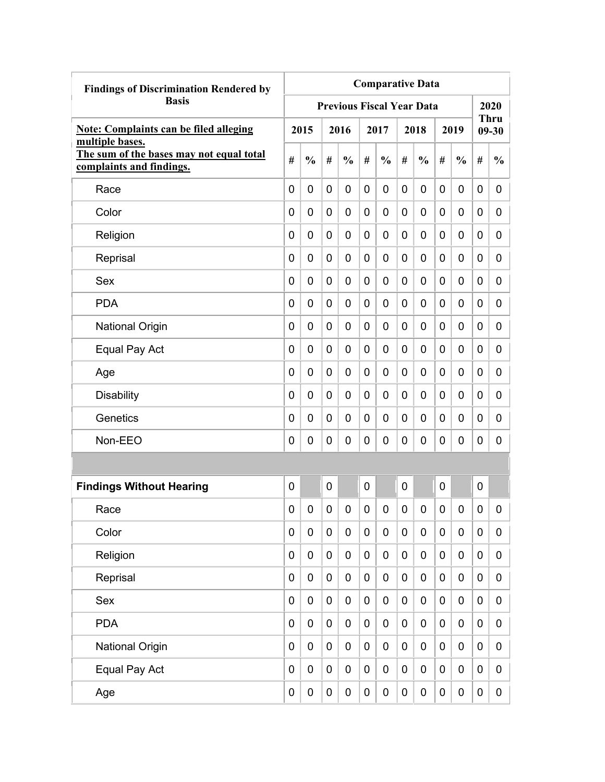| <b>Findings of Discrimination Rendered by</b>                                           | <b>Comparative Data</b> |               |           |                                  |                |               |             |               |   |                  |                  |                          |
|-----------------------------------------------------------------------------------------|-------------------------|---------------|-----------|----------------------------------|----------------|---------------|-------------|---------------|---|------------------|------------------|--------------------------|
| <b>Basis</b>                                                                            |                         |               |           | <b>Previous Fiscal Year Data</b> |                |               |             |               |   |                  |                  | 2020                     |
| <b>Note: Complaints can be filed alleging</b>                                           |                         | 2015          |           | 2016                             |                | 2017          |             | 2018          |   | 2019             |                  | <b>Thru</b><br>$09 - 30$ |
| multiple bases.<br>The sum of the bases may not equal total<br>complaints and findings. | #                       | $\frac{0}{0}$ | #         | $\frac{0}{0}$                    | #              | $\frac{0}{0}$ | #           | $\frac{0}{0}$ | # | $\frac{0}{0}$    | #                | $\frac{0}{0}$            |
| Race                                                                                    | 0                       | 0             | 0         | $\overline{0}$                   | $\overline{0}$ | $\mathbf 0$   | 0           | 0             | 0 | 0                | 0                | 0                        |
| Color                                                                                   | 0                       | 0             | 0         | 0                                | 0              | 0             | 0           | 0             | 0 | 0                | 0                | 0                        |
| Religion                                                                                | 0                       | 0             | 0         | 0                                | 0              | 0             | 0           | 0             | 0 | 0                | 0                | 0                        |
| Reprisal                                                                                | 0                       | 0             | 0         | 0                                | 0              | 0             | 0           | 0             | 0 | 0                | 0                | 0                        |
| Sex                                                                                     | 0                       | 0             | 0         | 0                                | 0              | $\mathbf 0$   | 0           | 0             | 0 | 0                | 0                | 0                        |
| <b>PDA</b>                                                                              | 0                       | 0             | 0         | $\overline{0}$                   | 0              | $\mathbf 0$   | 0           | 0             | 0 | 0                | $\mathbf 0$      | 0                        |
| <b>National Origin</b>                                                                  | 0                       | 0             | 0         | 0                                | 0              | 0             | 0           | 0             | 0 | 0                | 0                | 0                        |
| Equal Pay Act                                                                           | 0                       | 0             | 0         | 0                                | 0              | 0             | 0           | 0             | 0 | 0                | 0                | 0                        |
| Age                                                                                     | 0                       | 0             | 0         | 0                                | $\mathbf 0$    | 0             | 0           | 0             | 0 | 0                | 0                | 0                        |
| <b>Disability</b>                                                                       | 0                       | 0             | 0         | 0                                | 0              | 0             | 0           | 0             | 0 | 0                | 0                | 0                        |
| Genetics                                                                                | 0                       | 0             | 0         | 0                                | 0              | 0             | 0           | 0             | 0 | 0                | 0                | 0                        |
| Non-EEO                                                                                 | 0                       | 0             | 0         | 0                                | 0              | 0             | 0           | 0             | 0 | 0                | 0                | 0                        |
|                                                                                         |                         |               |           |                                  |                |               |             |               |   |                  |                  |                          |
| <b>Findings Without Hearing</b>                                                         | 0                       |               | 0         |                                  | 0              |               | 0           |               | 0 |                  | $\mathbf 0$      |                          |
| Race                                                                                    | 0                       | 0             | 0         | 0                                | 0              | 0             | 0           | 0             | 0 | 0                | 0                | 0                        |
| Color                                                                                   | 0                       | $\mathbf 0$   | $\pmb{0}$ | $\mathbf 0$                      | $\mathbf 0$    | $\mathbf 0$   | $\mathbf 0$ | 0             | 0 | $\mathbf 0$      | $\mathbf 0$      | 0                        |
| Religion                                                                                | 0                       | $\mathbf 0$   | $\pmb{0}$ | $\mathbf 0$                      | $\mathbf 0$    | 0             | 0           | 0             | 0 | $\boldsymbol{0}$ | $\mathbf 0$      | 0                        |
| Reprisal                                                                                | 0                       | $\mathbf 0$   | $\pmb{0}$ | $\mathbf 0$                      | $\mathbf 0$    | $\mathbf 0$   | $\mathbf 0$ | 0             | 0 | $\pmb{0}$        | $\mathbf 0$      | 0                        |
| Sex                                                                                     | 0                       | $\mathbf 0$   | $\pmb{0}$ | $\mathbf 0$                      | $\mathbf 0$    | $\mathbf 0$   | $\mathbf 0$ | 0             | 0 | $\pmb{0}$        | $\mathbf 0$      | 0                        |
| <b>PDA</b>                                                                              | 0                       | $\mathbf 0$   | $\pmb{0}$ | $\mathbf 0$                      | $\mathbf 0$    | $\mathbf 0$   | $\mathbf 0$ | $\pmb{0}$     | 0 | $\mathbf 0$      | $\mathbf 0$      | 0                        |
| <b>National Origin</b>                                                                  | 0                       | $\mathbf 0$   | $\pmb{0}$ | $\mathbf 0$                      | $\mathbf 0$    | $\pmb{0}$     | 0           | 0             | 0 | $\pmb{0}$        | $\boldsymbol{0}$ | 0                        |
| Equal Pay Act                                                                           | 0                       | $\pmb{0}$     | $\pmb{0}$ | 0                                | $\mathbf 0$    | $\pmb{0}$     | 0           | 0             | 0 | $\pmb{0}$        | $\boldsymbol{0}$ | 0                        |
| Age                                                                                     | 0                       | $\pmb{0}$     | 0         | $\pmb{0}$                        | $\pmb{0}$      | $\pmb{0}$     | 0           | 0             | 0 | $\pmb{0}$        | $\pmb{0}$        | $\mathbf 0$              |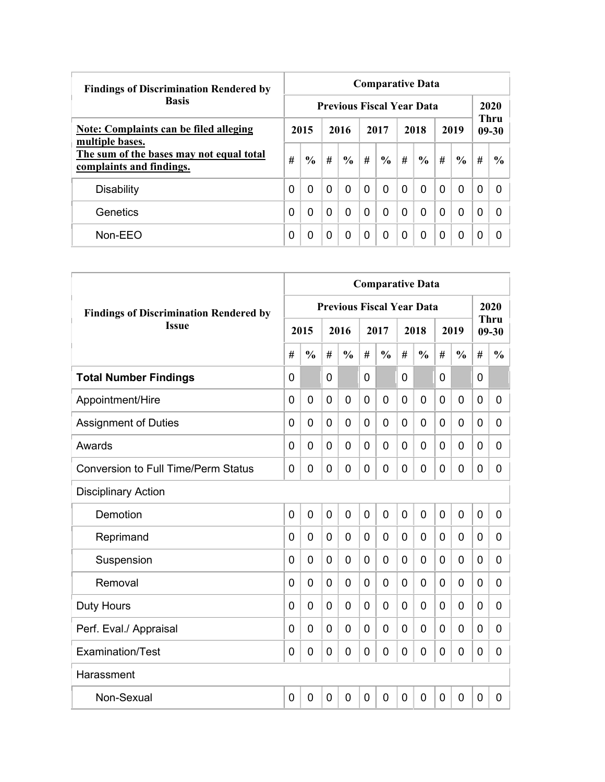| <b>Findings of Discrimination Rendered by</b>                        |                                  | <b>Comparative Data</b> |          |               |          |               |          |               |          |               |   |                          |  |  |  |
|----------------------------------------------------------------------|----------------------------------|-------------------------|----------|---------------|----------|---------------|----------|---------------|----------|---------------|---|--------------------------|--|--|--|
| <b>Basis</b>                                                         | <b>Previous Fiscal Year Data</b> |                         |          |               |          |               |          |               |          |               |   |                          |  |  |  |
| <b>Note: Complaints can be filed alleging</b><br>multiple bases.     |                                  | 2015                    |          | 2016          |          | 2017          |          | 2018          |          | 2019          |   | <b>Thru</b><br>$09 - 30$ |  |  |  |
| The sum of the bases may not equal total<br>complaints and findings. | #                                | $\frac{0}{0}$           | #        | $\frac{6}{6}$ | #        | $\frac{0}{0}$ | #        | $\frac{6}{6}$ | #        | $\frac{6}{6}$ | # | $\frac{6}{9}$            |  |  |  |
| <b>Disability</b>                                                    | 0                                | $\Omega$                | $\Omega$ | 0             | $\Omega$ | $\Omega$      | $\Omega$ | 0             | $\Omega$ | $\Omega$      | 0 | <sup>0</sup>             |  |  |  |
| Genetics                                                             | 0                                | $\Omega$                | $\Omega$ | 0             | $\Omega$ | 0             | $\Omega$ | 0             | $\Omega$ | $\mathbf 0$   | 0 | <sup>0</sup>             |  |  |  |
| Non-EEO                                                              | 0                                | 0                       | 0        | 0             | $\Omega$ | 0             | $\Omega$ | 0             | 0        | $\Omega$      | 0 |                          |  |  |  |

|                                               | <b>Comparative Data</b> |                |   |                                  |                |                |              |               |                |                |             |                          |  |
|-----------------------------------------------|-------------------------|----------------|---|----------------------------------|----------------|----------------|--------------|---------------|----------------|----------------|-------------|--------------------------|--|
| <b>Findings of Discrimination Rendered by</b> |                         |                |   | <b>Previous Fiscal Year Data</b> |                |                |              |               |                |                |             | 2020                     |  |
| <b>Issue</b>                                  |                         | 2015           |   | 2016                             |                | 2017           |              | 2018          |                | 2019           |             | <b>Thru</b><br>$09 - 30$ |  |
|                                               | #                       | $\frac{0}{0}$  | # | $\frac{0}{0}$                    | #              | $\frac{0}{0}$  | #            | $\frac{0}{0}$ | #              | $\frac{0}{0}$  | #           | $\frac{0}{0}$            |  |
| <b>Total Number Findings</b>                  | $\mathbf{0}$            |                | 0 |                                  | $\mathbf 0$    |                | 0            |               | $\mathbf 0$    |                | 0           |                          |  |
| Appointment/Hire                              | $\mathbf 0$             | $\mathbf 0$    | 0 | $\mathbf 0$                      | $\mathbf 0$    | $\mathbf 0$    | 0            | 0             | $\mathbf 0$    | $\mathbf 0$    | 0           | 0                        |  |
| <b>Assignment of Duties</b>                   | $\mathbf 0$             | 0              | 0 | $\overline{0}$                   | $\mathbf 0$    | 0              | 0            | 0             | $\mathbf 0$    | $\overline{0}$ | 0           | 0                        |  |
| Awards                                        | $\Omega$                | 0              | 0 | 0                                | 0              | 0              | 0            | 0             | 0              | $\mathbf 0$    | 0           | 0                        |  |
| <b>Conversion to Full Time/Perm Status</b>    | $\Omega$                | 0              | 0 | $\overline{0}$                   | $\mathbf 0$    | 0              | 0            | 0             | 0              | $\mathbf 0$    | 0           | 0                        |  |
| <b>Disciplinary Action</b>                    |                         |                |   |                                  |                |                |              |               |                |                |             |                          |  |
| Demotion                                      | $\mathbf 0$             | $\overline{0}$ | 0 | $\overline{0}$                   | $\mathbf 0$    | $\overline{0}$ | $\mathbf{0}$ | 0             | $\mathbf 0$    | $\overline{0}$ | 0           | 0                        |  |
| Reprimand                                     | $\Omega$                | $\Omega$       | 0 | $\overline{0}$                   | $\mathbf 0$    | 0              | $\Omega$     | 0             | 0              | $\mathbf 0$    | 0           | 0                        |  |
| Suspension                                    | 0                       | 0              | 0 | $\overline{0}$                   | $\mathbf 0$    | 0              | 0            | 0             | 0              | $\overline{0}$ | 0           | 0                        |  |
| Removal                                       | 0                       | 0              | 0 | $\overline{0}$                   | $\mathbf 0$    | 0              | 0            | 0             | 0              | $\overline{0}$ | 0           | 0                        |  |
| <b>Duty Hours</b>                             | $\Omega$                | 0              | 0 | $\overline{0}$                   | $\mathbf 0$    | 0              | 0            | 0             | 0              | $\overline{0}$ | 0           | 0                        |  |
| Perf. Eval./ Appraisal                        | $\overline{0}$          | 0              | 0 | $\mathbf 0$                      | $\mathbf 0$    | $\overline{0}$ | 0            | 0             | $\mathbf 0$    | $\mathbf 0$    | 0           | 0                        |  |
| Examination/Test                              | 0                       | $\mathbf 0$    | 0 | $\overline{0}$                   | $\mathbf 0$    | 0              | 0            | 0             | 0              | $\overline{0}$ | $\mathbf 0$ | 0                        |  |
| Harassment                                    |                         |                |   |                                  |                |                |              |               |                |                |             |                          |  |
| Non-Sexual                                    | 0                       | $\mathbf 0$    | 0 | $\overline{0}$                   | $\overline{0}$ | 0              | 0            | 0             | $\overline{0}$ | $\overline{0}$ | $\mathbf 0$ | 0                        |  |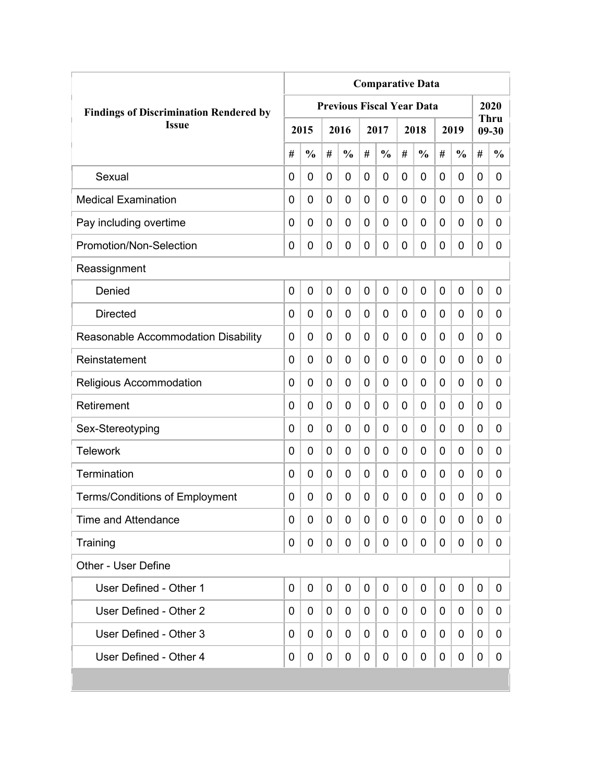| <b>Comparative Data</b>                       |             |               |                |                                  |   |               |   |               |             |               |   |                   |
|-----------------------------------------------|-------------|---------------|----------------|----------------------------------|---|---------------|---|---------------|-------------|---------------|---|-------------------|
| <b>Findings of Discrimination Rendered by</b> |             |               |                | <b>Previous Fiscal Year Data</b> |   |               |   |               |             |               |   | 2020              |
| <b>Issue</b>                                  |             | 2015          |                | 2016                             |   | 2017          |   | 2018          |             | 2019          |   | Thru<br>$09 - 30$ |
|                                               | #           | $\frac{0}{0}$ | #              | $\frac{0}{0}$                    | # | $\frac{0}{0}$ | # | $\frac{0}{0}$ | #           | $\frac{0}{0}$ | # | $\frac{0}{0}$     |
| Sexual                                        | 0           | 0             | 0              | 0                                | 0 | 0             | 0 | 0             | 0           | 0             | 0 | 0                 |
| <b>Medical Examination</b>                    | 0           | 0             | 0              | 0                                | 0 | 0             | 0 | 0             | 0           | 0             | 0 | 0                 |
| Pay including overtime                        | 0           | 0             | 0              | 0                                | 0 | 0             | 0 | 0             | 0           | 0             | 0 | 0                 |
| Promotion/Non-Selection                       | 0           | 0             | 0              | 0                                | 0 | 0             | 0 | 0             | 0           | 0             | 0 | 0                 |
| Reassignment                                  |             |               |                |                                  |   |               |   |               |             |               |   |                   |
| Denied                                        | $\mathbf 0$ | 0             | $\overline{0}$ | 0                                | 0 | 0             | 0 | 0             | $\mathbf 0$ | 0             | 0 | 0                 |
| <b>Directed</b>                               | 0           | 0             | 0              | 0                                | 0 | 0             | 0 | 0             | 0           | 0             | 0 | 0                 |
| Reasonable Accommodation Disability           | 0           | 0             | 0              | 0                                | 0 | 0             | 0 | 0             | 0           | 0             | 0 | 0                 |
| Reinstatement                                 | $\Omega$    | $\mathbf 0$   | 0              | 0                                | 0 | 0             | 0 | 0             | 0           | 0             | 0 | $\overline{0}$    |
| Religious Accommodation                       | 0           | $\mathbf 0$   | 0              | 0                                | 0 | 0             | 0 | 0             | 0           | 0             | 0 | 0                 |
| Retirement                                    | 0           | 0             | 0              | 0                                | 0 | 0             | 0 | 0             | 0           | 0             | 0 | 0                 |
| Sex-Stereotyping                              | 0           | 0             | 0              | 0                                | 0 | 0             | 0 | 0             | 0           | 0             | 0 | 0                 |
| <b>Telework</b>                               | 0           | $\mathbf 0$   | 0              | 0                                | 0 | 0             | 0 | 0             | 0           | 0             | 0 | 0                 |
| Termination                                   | 0           | 0             | 0              | 0                                | 0 | 0             | 0 | 0             | 0           | 0             | 0 | 0                 |
| <b>Terms/Conditions of Employment</b>         | 0           | 0             | 0              | 0                                | 0 | 0             | 0 | 0             | 0           | 0             | 0 | 0                 |
| <b>Time and Attendance</b>                    | 0           | 0             | 0              | 0                                | 0 | 0             | 0 | 0             | 0           | 0             | 0 | 0                 |
| Training                                      | 0           | 0             | 0              | 0                                | 0 | 0             | 0 | 0             | 0           | 0             | 0 | 0                 |
| <b>Other - User Define</b>                    |             |               |                |                                  |   |               |   |               |             |               |   |                   |
| User Defined - Other 1                        | $\mathbf 0$ | 0             | 0              | 0                                | 0 | $\mathbf 0$   | 0 | 0             | 0           | 0             | 0 | 0                 |
| User Defined - Other 2                        | 0           | 0             | 0              | 0                                | 0 | 0             | 0 | 0             | 0           | 0             | 0 | 0                 |
| User Defined - Other 3                        | 0           | 0             | 0              | 0                                | 0 | 0             | 0 | 0             | 0           | 0             | 0 | 0                 |
| User Defined - Other 4                        | 0           | 0             | 0              | 0                                | 0 | 0             | 0 | 0             | 0           | 0             | 0 | 0                 |
|                                               |             |               |                |                                  |   |               |   |               |             |               |   |                   |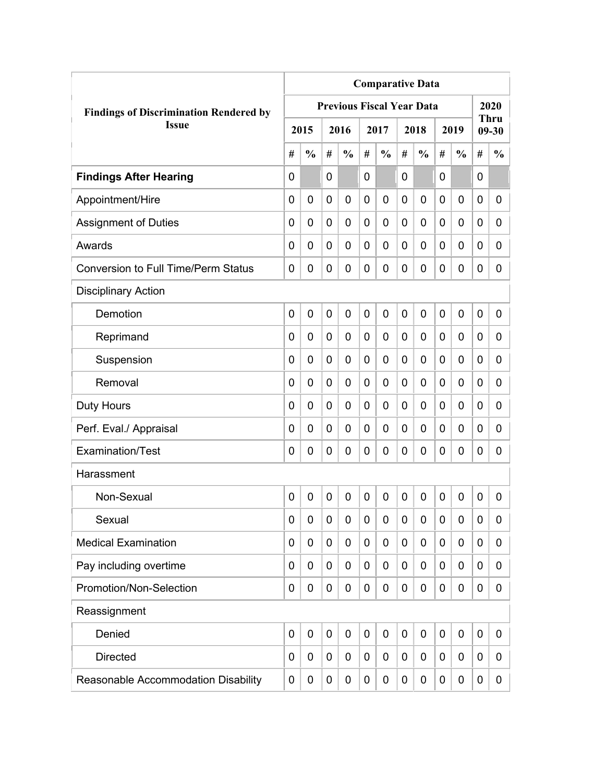|                                               |             |               |   |                                  |                |                | <b>Comparative Data</b> |                  |   |               |                |                          |
|-----------------------------------------------|-------------|---------------|---|----------------------------------|----------------|----------------|-------------------------|------------------|---|---------------|----------------|--------------------------|
| <b>Findings of Discrimination Rendered by</b> |             |               |   | <b>Previous Fiscal Year Data</b> |                |                |                         |                  |   |               |                | 2020                     |
| <b>Issue</b>                                  |             | 2015          |   | 2016                             |                | 2017           |                         | 2018             |   | 2019          |                | <b>Thru</b><br>$09 - 30$ |
|                                               | #           | $\frac{0}{0}$ | # | $\frac{0}{0}$                    | #              | $\frac{0}{0}$  | #                       | $\frac{0}{0}$    | # | $\frac{0}{0}$ | #              | $\frac{0}{0}$            |
| <b>Findings After Hearing</b>                 | $\mathbf 0$ |               | 0 |                                  | $\overline{0}$ |                | $\overline{0}$          |                  | 0 |               | $\overline{0}$ |                          |
| Appointment/Hire                              | 0           | $\mathbf 0$   | 0 | 0                                | $\overline{0}$ | $\mathbf 0$    | $\overline{0}$          | 0                | 0 | $\mathbf 0$   | $\mathbf 0$    | 0                        |
| <b>Assignment of Duties</b>                   | 0           | 0             | 0 | 0                                | $\mathbf 0$    | $\mathbf 0$    | 0                       | 0                | 0 | 0             | 0              | 0                        |
| Awards                                        | 0           | 0             | 0 | 0                                | 0              | 0              | $\overline{0}$          | 0                | 0 | 0             | 0              | 0                        |
| <b>Conversion to Full Time/Perm Status</b>    | 0           | $\mathbf 0$   | 0 | 0                                | $\overline{0}$ | 0              | $\mathbf 0$             | 0                | 0 | $\mathbf 0$   | $\mathbf 0$    | 0                        |
| <b>Disciplinary Action</b>                    |             |               |   |                                  |                |                |                         |                  |   |               |                |                          |
| Demotion                                      | 0           | $\mathbf 0$   | 0 | 0                                | $\mathbf 0$    | 0              | $\overline{0}$          | 0                | 0 | 0             | $\mathbf 0$    | 0                        |
| Reprimand                                     | 0           | $\mathbf 0$   | 0 | 0                                | $\mathbf 0$    | $\mathbf 0$    | $\overline{0}$          | 0                | 0 | $\mathbf 0$   | $\mathbf 0$    | 0                        |
| Suspension                                    | 0           | 0             | 0 | 0                                | 0              | $\mathbf 0$    | 0                       | 0                | 0 | $\mathbf 0$   | 0              | 0                        |
| Removal                                       | 0           | 0             | 0 | 0                                | 0              | 0              | 0                       | 0                | 0 | 0             | 0              | 0                        |
| <b>Duty Hours</b>                             | 0           | 0             | 0 | 0                                | 0              | 0              | 0                       | 0                | 0 | 0             | 0              | 0                        |
| Perf. Eval./ Appraisal                        | 0           | 0             | 0 | 0                                | $\overline{0}$ | 0              | $\overline{0}$          | 0                | 0 | 0             | 0              | 0                        |
| <b>Examination/Test</b>                       | 0           | 0             | 0 | 0                                | 0              | 0              | $\mathbf 0$             | 0                | 0 | 0             | 0              | 0                        |
| Harassment                                    |             |               |   |                                  |                |                |                         |                  |   |               |                |                          |
| Non-Sexual                                    | $\mathbf 0$ | $\mathbf 0$   | 0 | 0                                | 0              | $\overline{0}$ | $\overline{0}$          | 0                | 0 | 0             | $\mathbf 0$    | 0                        |
| Sexual                                        | 0           | 0             | 0 | 0                                | $\mathbf 0$    | 0              | 0                       | $\boldsymbol{0}$ | 0 | 0             | 0              | 0                        |
| <b>Medical Examination</b>                    | 0           | 0             | 0 | 0                                | $\mathbf 0$    | $\mathbf 0$    | 0                       | $\mathbf 0$      | 0 | 0             | $\mathbf 0$    | 0                        |
| Pay including overtime                        | 0           | 0             | 0 | 0                                | 0              | 0              | 0                       | 0                | 0 | 0             | $\mathbf 0$    | 0                        |
| Promotion/Non-Selection                       | 0           | 0             | 0 | 0                                | $\mathbf 0$    | $\mathbf 0$    | $\mathbf 0$             | $\mathbf 0$      | 0 | 0             | $\mathbf 0$    | 0                        |
| Reassignment                                  |             |               |   |                                  |                |                |                         |                  |   |               |                |                          |
| Denied                                        | $\mathbf 0$ | $\mathbf 0$   | 0 | 0                                | $\mathbf 0$    | $\mathbf 0$    | $\mathbf 0$             | $\mathbf 0$      | 0 | $\mathbf 0$   | $\mathbf 0$    | 0                        |
| <b>Directed</b>                               | $\mathbf 0$ | $\mathbf 0$   | 0 | 0                                | 0              | $\mathbf 0$    | 0                       | 0                | 0 | 0             | $\mathbf 0$    | 0                        |
| Reasonable Accommodation Disability           | 0           | 0             | 0 | 0                                | 0              | 0              | 0                       | 0                | 0 | 0             | 0              | 0                        |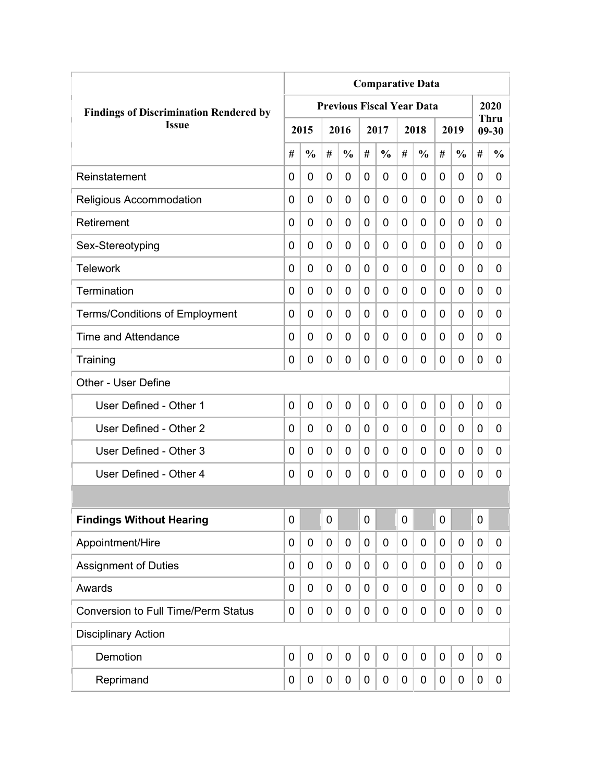|                                               | <b>Comparative Data</b> |               |              |                                  |                |               |   |               |             |               |             |                          |
|-----------------------------------------------|-------------------------|---------------|--------------|----------------------------------|----------------|---------------|---|---------------|-------------|---------------|-------------|--------------------------|
| <b>Findings of Discrimination Rendered by</b> |                         |               |              | <b>Previous Fiscal Year Data</b> |                |               |   |               |             |               |             | 2020                     |
| <b>Issue</b>                                  |                         | 2015          |              | 2016                             |                | 2017          |   | 2018          |             | 2019          |             | <b>Thru</b><br>$09 - 30$ |
|                                               | #                       | $\frac{0}{0}$ | #            | $\frac{0}{0}$                    | #              | $\frac{0}{0}$ | # | $\frac{0}{0}$ | #           | $\frac{0}{0}$ | #           | $\frac{0}{0}$            |
| Reinstatement                                 | $\Omega$                | 0             | 0            | 0                                | 0              | 0             | 0 | 0             | 0           | 0             | 0           | 0                        |
| Religious Accommodation                       | 0                       | 0             | 0            | 0                                | $\overline{0}$ | $\mathbf 0$   | 0 | 0             | 0           | 0             | 0           | 0                        |
| Retirement                                    | 0                       | 0             | 0            | 0                                | 0              | $\mathbf 0$   | 0 | 0             | 0           | 0             | 0           | 0                        |
| Sex-Stereotyping                              | 0                       | 0             | 0            | 0                                | 0              | 0             | 0 | 0             | 0           | 0             | 0           | 0                        |
| <b>Telework</b>                               | 0                       | 0             | 0            | 0                                | 0              | 0             | 0 | 0             | 0           | 0             | 0           | 0                        |
| Termination                                   | 0                       | 0             | 0            | 0                                | 0              | 0             | 0 | 0             | 0           | 0             | 0           | 0                        |
| <b>Terms/Conditions of Employment</b>         | 0                       | 0             | 0            | 0                                | 0              | 0             | 0 | 0             | 0           | 0             | 0           | 0                        |
| <b>Time and Attendance</b>                    | 0                       | 0             | 0            | 0                                | 0              | 0             | 0 | 0             | 0           | 0             | 0           | 0                        |
| Training                                      | 0                       | 0             | 0            | 0                                | 0              | $\mathbf 0$   | 0 | 0             | 0           | 0             | 0           | 0                        |
| Other - User Define                           |                         |               |              |                                  |                |               |   |               |             |               |             |                          |
| User Defined - Other 1                        | 0                       | 0             | $\mathbf{0}$ | 0                                | $\overline{0}$ | $\mathbf 0$   | 0 | 0             | $\mathbf 0$ | 0             | $\mathbf 0$ | 0                        |
| User Defined - Other 2                        | 0                       | 0             | 0            | 0                                | 0              | 0             | 0 | 0             | 0           | 0             | 0           | 0                        |
| User Defined - Other 3                        | 0                       | 0             | 0            | 0                                | 0              | 0             | 0 | 0             | 0           | 0             | 0           | 0                        |
| User Defined - Other 4                        | 0                       | 0             | 0            | 0                                | 0              | 0             | 0 | 0             | 0           | 0             | 0           | 0                        |
|                                               |                         |               |              |                                  |                |               |   |               |             |               |             |                          |
| <b>Findings Without Hearing</b>               | 0                       |               | $\mathbf 0$  |                                  | $\mathbf 0$    |               | 0 |               | 0           |               | $\mathbf 0$ |                          |
| Appointment/Hire                              | 0                       | 0             | 0            | 0                                | 0              | 0             | 0 | 0             | 0           | 0             | $\mathbf 0$ | 0                        |
| <b>Assignment of Duties</b>                   | 0                       | 0             | 0            | 0                                | 0              | 0             | 0 | 0             | 0           | 0             | $\mathbf 0$ | 0                        |
| Awards                                        | 0                       | 0             | 0            | 0                                | 0              | 0             | 0 | 0             | 0           | 0             | $\mathbf 0$ | 0                        |
| <b>Conversion to Full Time/Perm Status</b>    | 0                       | 0             | 0            | 0                                | 0              | 0             | 0 | 0             | 0           | 0             | $\mathbf 0$ | 0                        |
| <b>Disciplinary Action</b>                    |                         |               |              |                                  |                |               |   |               |             |               |             |                          |
| Demotion                                      | $\mathbf 0$             | $\mathbf 0$   | 0            | $\mathbf 0$                      | $\mathbf 0$    | $\mathbf 0$   | 0 | $\mathbf 0$   | 0           | $\mathbf 0$   | $\mathbf 0$ | 0                        |
| Reprimand                                     | 0                       | 0             | 0            | 0                                | 0              | 0             | 0 | $\pmb{0}$     | 0           | 0             | $\mathbf 0$ | 0                        |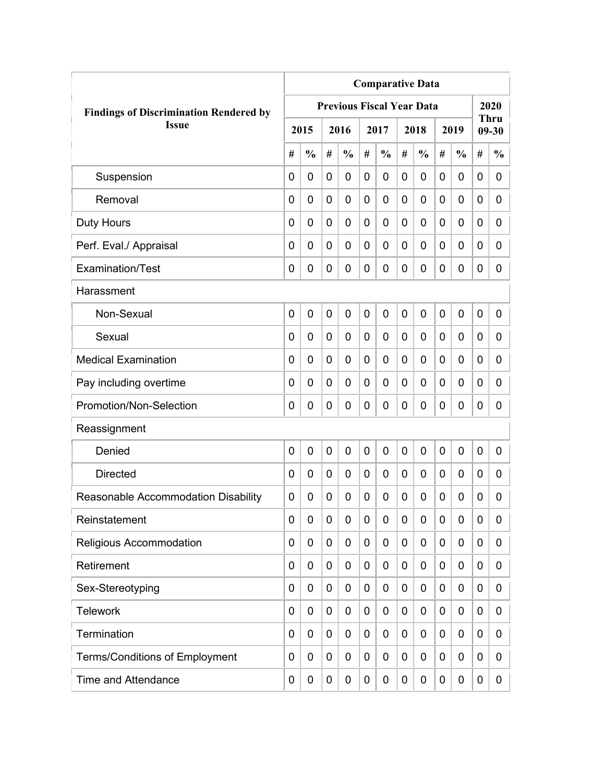|                                               | <b>Comparative Data</b> |                |   |                                  |             |               |             |               |   |               |             |                          |  |
|-----------------------------------------------|-------------------------|----------------|---|----------------------------------|-------------|---------------|-------------|---------------|---|---------------|-------------|--------------------------|--|
| <b>Findings of Discrimination Rendered by</b> |                         |                |   | <b>Previous Fiscal Year Data</b> |             |               |             |               |   |               |             | 2020                     |  |
| <b>Issue</b>                                  |                         | 2015           |   | 2016                             |             | 2017          |             | 2018          |   | 2019          |             | <b>Thru</b><br>$09 - 30$ |  |
|                                               | #                       | $\frac{0}{0}$  | # | $\frac{0}{0}$                    | #           | $\frac{0}{0}$ | #           | $\frac{0}{0}$ | # | $\frac{0}{0}$ | #           | $\frac{0}{0}$            |  |
| Suspension                                    | 0                       | $\mathbf 0$    | 0 | $\overline{0}$                   | $\mathbf 0$ | 0             | $\mathbf 0$ | 0             | 0 | $\mathbf 0$   | 0           | 0                        |  |
| Removal                                       | 0                       | 0              | 0 | $\overline{0}$                   | $\mathbf 0$ | 0             | 0           | 0             | 0 | $\mathbf 0$   | $\mathbf 0$ | 0                        |  |
| <b>Duty Hours</b>                             | 0                       | 0              | 0 | 0                                | 0           | 0             | 0           | 0             | 0 | $\mathbf 0$   | 0           | 0                        |  |
| Perf. Eval./ Appraisal                        | 0                       | 0              | 0 | 0                                | 0           | 0             | 0           | 0             | 0 | $\mathbf 0$   | 0           | 0                        |  |
| Examination/Test                              | 0                       | 0              | 0 | 0                                | $\mathbf 0$ | 0             | 0           | 0             | 0 | $\mathbf 0$   | 0           | 0                        |  |
| Harassment                                    |                         |                |   |                                  |             |               |             |               |   |               |             |                          |  |
| Non-Sexual                                    | 0                       | $\overline{0}$ | 0 | 0                                | $\mathbf 0$ | 0             | $\mathbf 0$ | $\mathbf 0$   | 0 | $\mathbf 0$   | 0           | 0                        |  |
| Sexual                                        | 0                       | 0              | 0 | $\overline{0}$                   | 0           | 0             | 0           | 0             | 0 | $\mathbf 0$   | 0           | 0                        |  |
| <b>Medical Examination</b>                    | 0                       | 0              | 0 | $\overline{0}$                   | 0           | 0             | 0           | 0             | 0 | $\mathbf 0$   | $\mathbf 0$ | 0                        |  |
| Pay including overtime                        | 0                       | 0              | 0 | 0                                | 0           | 0             | 0           | 0             | 0 | $\mathbf 0$   | 0           | 0                        |  |
| Promotion/Non-Selection                       | 0                       | 0              | 0 | 0                                | $\mathbf 0$ | 0             | 0           | 0             | 0 | $\mathbf 0$   | 0           | 0                        |  |
| Reassignment                                  |                         |                |   |                                  |             |               |             |               |   |               |             |                          |  |
| Denied                                        | 0                       | $\mathbf 0$    | 0 | $\overline{0}$                   | $\mathbf 0$ | 0             | 0           | 0             | 0 | $\mathbf 0$   | 0           | 0                        |  |
| <b>Directed</b>                               | 0                       | $\mathbf 0$    | 0 | 0                                | $\mathbf 0$ | 0             | 0           | 0             | 0 | $\mathbf 0$   | 0           | 0                        |  |
| Reasonable Accommodation Disability           | 0                       | 0              | 0 | 0                                | 0           | 0             | 0           | 0             | 0 | 0             | 0           | 0                        |  |
| Reinstatement                                 | 0                       | 0              | 0 | 0                                | $\mathbf 0$ | 0             | 0           | 0             | 0 | $\mathbf 0$   | 0           | 0                        |  |
| Religious Accommodation                       | 0                       | 0              | 0 | 0                                | 0           | 0             | 0           | 0             | 0 | $\mathbf 0$   | 0           | 0                        |  |
| Retirement                                    | 0                       | 0              | 0 | 0                                | $\mathbf 0$ | 0             | 0           | 0             | 0 | $\mathbf 0$   | 0           | 0                        |  |
| Sex-Stereotyping                              | 0                       | 0              | 0 | 0                                | $\mathbf 0$ | 0             | 0           | 0             | 0 | $\mathbf 0$   | 0           | 0                        |  |
| <b>Telework</b>                               | 0                       | 0              | 0 | 0                                | $\mathbf 0$ | 0             | 0           | 0             | 0 | $\mathbf 0$   | 0           | 0                        |  |
| Termination                                   | 0                       | 0              | 0 | 0                                | $\mathbf 0$ | 0             | 0           | 0             | 0 | $\mathbf 0$   | 0           | 0                        |  |
| <b>Terms/Conditions of Employment</b>         | 0                       | 0              | 0 | 0                                | $\mathbf 0$ | 0             | 0           | 0             | 0 | $\mathbf 0$   | 0           | 0                        |  |
| <b>Time and Attendance</b>                    | 0                       | 0              | 0 | 0                                | $\mathbf 0$ | 0             | 0           | 0             | 0 | $\mathbf 0$   | 0           | 0                        |  |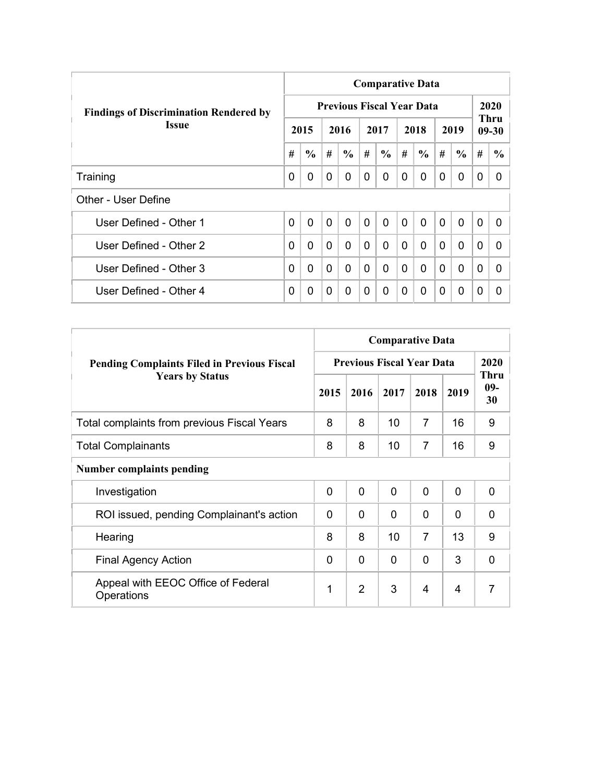|                                               | <b>Comparative Data</b> |               |                |                                  |                |                |              |               |                |               |                |                   |  |  |
|-----------------------------------------------|-------------------------|---------------|----------------|----------------------------------|----------------|----------------|--------------|---------------|----------------|---------------|----------------|-------------------|--|--|
| <b>Findings of Discrimination Rendered by</b> |                         |               |                | <b>Previous Fiscal Year Data</b> |                |                |              |               |                |               |                | 2020              |  |  |
| <b>Issue</b>                                  |                         | 2015          |                | 2016                             |                | 2017           |              | 2018          |                | 2019          |                | Thru<br>$09 - 30$ |  |  |
|                                               | #                       | $\frac{6}{6}$ | #              | $\frac{6}{6}$                    | #              | $\frac{6}{6}$  | #            | $\frac{6}{6}$ | #              | $\frac{6}{6}$ | #              | $\frac{6}{9}$     |  |  |
| Training                                      | 0                       | 0             | $\Omega$       | 0                                | 0              | $\Omega$       | 0            | 0             | $\Omega$       | 0             | 0              | 0                 |  |  |
| Other - User Define                           |                         |               |                |                                  |                |                |              |               |                |               |                |                   |  |  |
| User Defined - Other 1                        | $\overline{0}$          | $\mathbf{0}$  | $\overline{0}$ | $\mathbf{0}$                     | $\overline{0}$ | $\overline{0}$ | $\mathbf{0}$ | $\Omega$      | $\overline{0}$ | $\mathbf{0}$  | $\overline{0}$ | 0                 |  |  |
| User Defined - Other 2                        | 0                       | 0             | $\mathbf{0}$   | $\Omega$                         | $\Omega$       | 0              | $\Omega$     | $\Omega$      | $\Omega$       | $\mathbf{0}$  | $\Omega$       | <sup>0</sup>      |  |  |
| User Defined - Other 3                        | 0                       | 0             | $\Omega$       | 0                                | $\mathbf{0}$   | 0              | $\Omega$     | $\Omega$      | $\Omega$       | $\mathbf{0}$  | $\Omega$       | 0                 |  |  |
| User Defined - Other 4                        | 0                       | 0             | $\Omega$       | 0                                | 0              | $\Omega$       | 0            | $\Omega$      | 0              | $\mathbf 0$   | 0              | 0                 |  |  |

|                                                    | <b>Comparative Data</b>          |                |                |                |              |                            |  |
|----------------------------------------------------|----------------------------------|----------------|----------------|----------------|--------------|----------------------------|--|
| <b>Pending Complaints Filed in Previous Fiscal</b> | <b>Previous Fiscal Year Data</b> | 2020           |                |                |              |                            |  |
| <b>Years by Status</b>                             | 2015                             | 2016           | 2017           | 2018           | 2019         | <b>Thru</b><br>$09-$<br>30 |  |
| Total complaints from previous Fiscal Years        | 8                                | 8              | 10             | 7              | 16           | 9                          |  |
| <b>Total Complainants</b>                          | 8                                | 8              | 10             | 7              | 16           | 9                          |  |
| <b>Number complaints pending</b>                   |                                  |                |                |                |              |                            |  |
| Investigation                                      | $\mathbf 0$                      | 0              | $\overline{0}$ | $\mathbf{0}$   | $\mathbf{0}$ | $\Omega$                   |  |
| ROI issued, pending Complainant's action           | $\Omega$                         | 0              | $\Omega$       | 0              | $\Omega$     | $\Omega$                   |  |
| Hearing                                            | 8                                | 8              | 10             | $\overline{7}$ | 13           | 9                          |  |
| <b>Final Agency Action</b>                         | $\Omega$                         | 0              | $\Omega$       | 0              | 3            | $\mathbf{0}$               |  |
| Appeal with EEOC Office of Federal<br>Operations   | 1                                | $\overline{2}$ | 3              | $\overline{4}$ | 4            | 7                          |  |